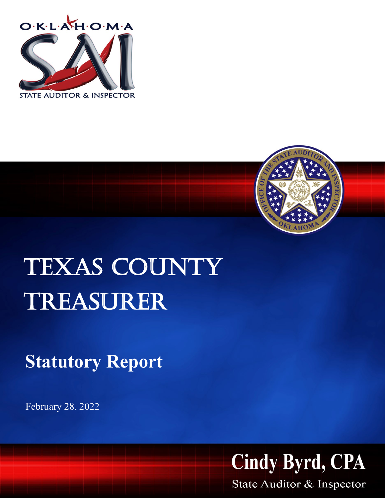



## TEXAS COUNTY Treasurer

**Statutory Report**

February 28, 2022



State Auditor & Inspector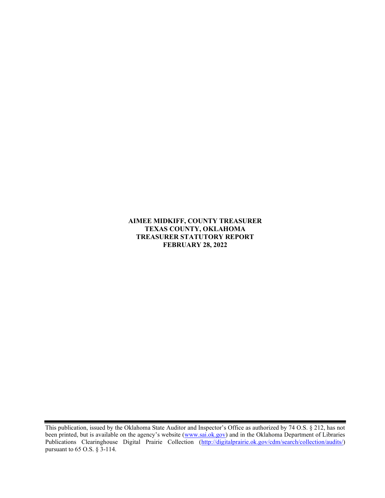AIMEE MIDKIFF, COUNTY TREASURER TEXAS COUNTY, OKLAHOMA TREASURER STATUTORY REPORT FEBRUARY 28, 2022

This publication, issued by the Oklahoma State Auditor and Inspector's Office as authorized by 74 O.S. § 212, has not been printed, but is available on the agency's website (www.sai.ok.gov) and in the Oklahoma Department of Libraries Publications Clearinghouse Digital Prairie Collection (http://digitalprairie.ok.gov/cdm/search/collection/audits/) pursuant to 65 O.S. § 3-114.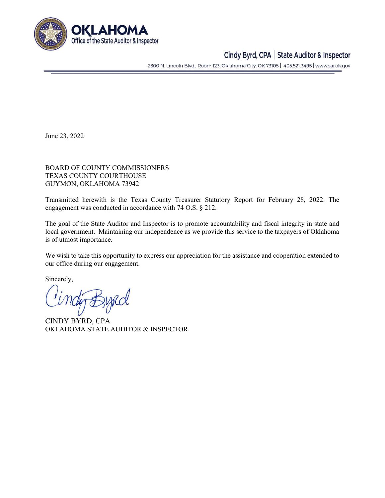

## Cindy Byrd, CPA | State Auditor & Inspector

2300 N. Lincoln Blvd., Room 123, Oklahoma City, OK 73105 | 405.521.3495 | www.sai.ok.gov

June 23, 2022

BOARD OF COUNTY COMMISSIONERS TEXAS COUNTY COURTHOUSE GUYMON, OKLAHOMA 73942

Transmitted herewith is the Texas County Treasurer Statutory Report for February 28, 2022. The engagement was conducted in accordance with 74 O.S. § 212.

The goal of the State Auditor and Inspector is to promote accountability and fiscal integrity in state and local government. Maintaining our independence as we provide this service to the taxpayers of Oklahoma is of utmost importance.

We wish to take this opportunity to express our appreciation for the assistance and cooperation extended to our office during our engagement.

Sincerely,

CINDY BYRD, CPA OKLAHOMA STATE AUDITOR & INSPECTOR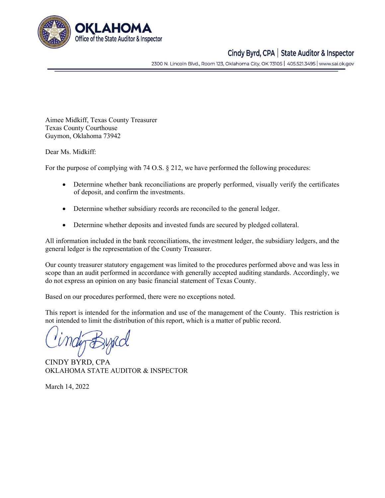

## Cindy Byrd, CPA | State Auditor & Inspector

2300 N. Lincoln Blvd., Room 123, Oklahoma City, OK 73105 | 405.521.3495 | www.sai.ok.gov

Aimee Midkiff, Texas County Treasurer Texas County Courthouse Guymon, Oklahoma 73942

Dear Ms. Midkiff:

For the purpose of complying with 74 O.S. § 212, we have performed the following procedures:

- Determine whether bank reconciliations are properly performed, visually verify the certificates of deposit, and confirm the investments.
- Determine whether subsidiary records are reconciled to the general ledger.
- Determine whether deposits and invested funds are secured by pledged collateral.

All information included in the bank reconciliations, the investment ledger, the subsidiary ledgers, and the general ledger is the representation of the County Treasurer.

Our county treasurer statutory engagement was limited to the procedures performed above and was less in scope than an audit performed in accordance with generally accepted auditing standards. Accordingly, we do not express an opinion on any basic financial statement of Texas County.

Based on our procedures performed, there were no exceptions noted.

This report is intended for the information and use of the management of the County. This restriction is not intended to limit the distribution of this report, which is a matter of public record.

CINDY BYRD, CPA OKLAHOMA STATE AUDITOR & INSPECTOR

March 14, 2022